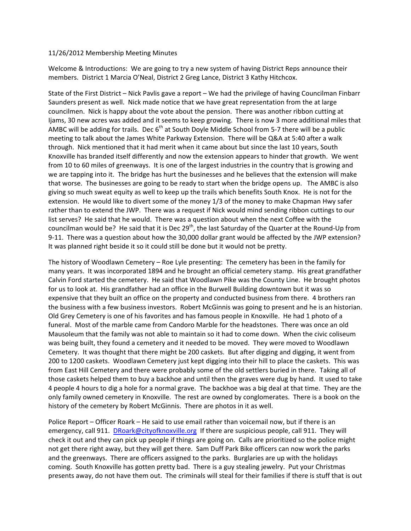## 11/26/2012 Membership Meeting Minutes

Welcome & Introductions: We are going to try a new system of having District Reps announce their members. District 1 Marcia O'Neal, District 2 Greg Lance, District 3 Kathy Hitchcox.

State of the First District – Nick Pavlis gave a report – We had the privilege of having Councilman Finbarr Saunders present as well. Nick made notice that we have great representation from the at large councilmen. Nick is happy about the vote about the pension. There was another ribbon cutting at Ijams, 30 new acres was added and it seems to keep growing. There is now 3 more additional miles that AMBC will be adding for trails. Dec  $6<sup>th</sup>$  at South Doyle Middle School from 5-7 there will be a public meeting to talk about the James White Parkway Extension. There will be Q&A at 5:40 after a walk through. Nick mentioned that it had merit when it came about but since the last 10 years, South Knoxville has branded itself differently and now the extension appears to hinder that growth. We went from 10 to 60 miles of greenways. It is one of the largest industries in the country that is growing and we are tapping into it. The bridge has hurt the businesses and he believes that the extension will make that worse. The businesses are going to be ready to start when the bridge opens up. The AMBC is also giving so much sweat equity as well to keep up the trails which benefits South Knox. He is not for the extension. He would like to divert some of the money 1/3 of the money to make Chapman Hwy safer rather than to extend the JWP. There was a request if Nick would mind sending ribbon cuttings to our list serves? He said that he would. There was a question about when the next Coffee with the councilman would be? He said that it is Dec 29<sup>th</sup>, the last Saturday of the Quarter at the Round-Up from 9-11. There was a question about how the 30,000 dollar grant would be affected by the JWP extension? It was planned right beside it so it could still be done but it would not be pretty.

The history of Woodlawn Cemetery – Roe Lyle presenting: The cemetery has been in the family for many years. It was incorporated 1894 and he brought an official cemetery stamp. His great grandfather Calvin Ford started the cemetery. He said that Woodlawn Pike was the County Line. He brought photos for us to look at. His grandfather had an office in the Burwell Building downtown but it was so expensive that they built an office on the property and conducted business from there. 4 brothers ran the business with a few business investors. Robert McGinnis was going to present and he is an historian. Old Grey Cemetery is one of his favorites and has famous people in Knoxville. He had 1 photo of a funeral. Most of the marble came from Candoro Marble for the headstones. There was once an old Mausoleum that the family was not able to maintain so it had to come down. When the civic coliseum was being built, they found a cemetery and it needed to be moved. They were moved to Woodlawn Cemetery. It was thought that there might be 200 caskets. But after digging and digging, it went from 200 to 1200 caskets. Woodlawn Cemetery just kept digging into their hill to place the caskets. This was from East Hill Cemetery and there were probably some of the old settlers buried in there. Taking all of those caskets helped them to buy a backhoe and until then the graves were dug by hand. It used to take 4 people 4 hours to dig a hole for a normal grave. The backhoe was a big deal at that time. They are the only family owned cemetery in Knoxville. The rest are owned by conglomerates. There is a book on the history of the cemetery by Robert McGinnis. There are photos in it as well.

Police Report - Officer Roark - He said to use email rather than voicemail now, but if there is an emergency, call 911. DRoark@cityofknoxville.org If there are suspicious people, call 911. They will check it out and they can pick up people if things are going on. Calls are prioritized so the police might not get there right away, but they will get there. Sam Duff Park Bike officers can now work the parks and the greenways. There are officers assigned to the parks. Burglaries are up with the holidays coming. South Knoxville has gotten pretty bad. There is a guy stealing jewelry. Put your Christmas presents away, do not have them out. The criminals will steal for their families if there is stuff that is out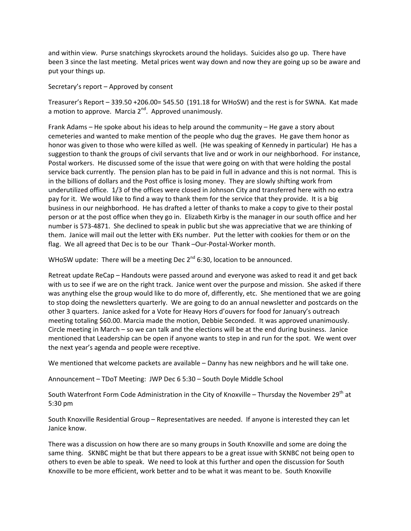and within view. Purse snatchings skyrockets around the holidays. Suicides also go up. There have been 3 since the last meeting. Metal prices went way down and now they are going up so be aware and put your things up.

Secretary's report  $-$  Approved by consent

Treasurer's Report  $-339.50 + 206.00 = 545.50$  (191.18 for WHoSW) and the rest is for SWNA. Kat made a motion to approve. Marcia  $2^{nd}$ . Approved unanimously.

Frank Adams – He spoke about his ideas to help around the community – He gave a story about cemeteries and wanted to make mention of the people who dug the graves. He gave them honor as honor was given to those who were killed as well. (He was speaking of Kennedy in particular) He has a suggestion to thank the groups of civil servants that live and or work in our neighborhood. For instance, Postal workers. He discussed some of the issue that were going on with that were holding the postal service back currently. The pension plan has to be paid in full in advance and this is not normal. This is in the billions of dollars and the Post office is losing money. They are slowly shifting work from underutilized office. 1/3 of the offices were closed in Johnson City and transferred here with no extra pay for it. We would like to find a way to thank them for the service that they provide. It is a big business in our neighborhood. He has drafted a letter of thanks to make a copy to give to their postal person or at the post office when they go in. Elizabeth Kirby is the manager in our south office and her number is 573-4871. She declined to speak in public but she was appreciative that we are thinking of them. Janice will mail out the letter with EKs number. Put the letter with cookies for them or on the flag. We all agreed that Dec is to be our Thank-Our-Postal-Worker month.

WHoSW update: There will be a meeting Dec  $2^{nd}$  6:30, location to be announced.

Retreat update ReCap – Handouts were passed around and everyone was asked to read it and get back with us to see if we are on the right track. Janice went over the purpose and mission. She asked if there was anything else the group would like to do more of, differently, etc. She mentioned that we are going to stop doing the newsletters quarterly. We are going to do an annual newsletter and postcards on the other 3 quarters. Janice asked for a Vote for Heavy Hors d'ouvers for food for January's outreach meeting totaling \$60.00. Marcia made the motion, Debbie Seconded. It was approved unanimously. Circle meeting in March  $-$  so we can talk and the elections will be at the end during business. Janice mentioned that Leadership can be open if anyone wants to step in and run for the spot. We went over the next year's agenda and people were receptive.

We mentioned that welcome packets are available – Danny has new neighbors and he will take one.

Announcement - TDoT Meeting: JWP Dec 6 5:30 - South Doyle Middle School

South Waterfront Form Code Administration in the City of Knoxville – Thursday the November 29<sup>th</sup> at 5:30 pm

South Knoxville Residential Group - Representatives are needed. If anyone is interested they can let Janice know.

There was a discussion on how there are so many groups in South Knoxville and some are doing the same thing. SKNBC might be that but there appears to be a great issue with SKNBC not being open to others to even be able to speak. We need to look at this further and open the discussion for South Knoxville to be more efficient, work better and to be what it was meant to be. South Knoxville